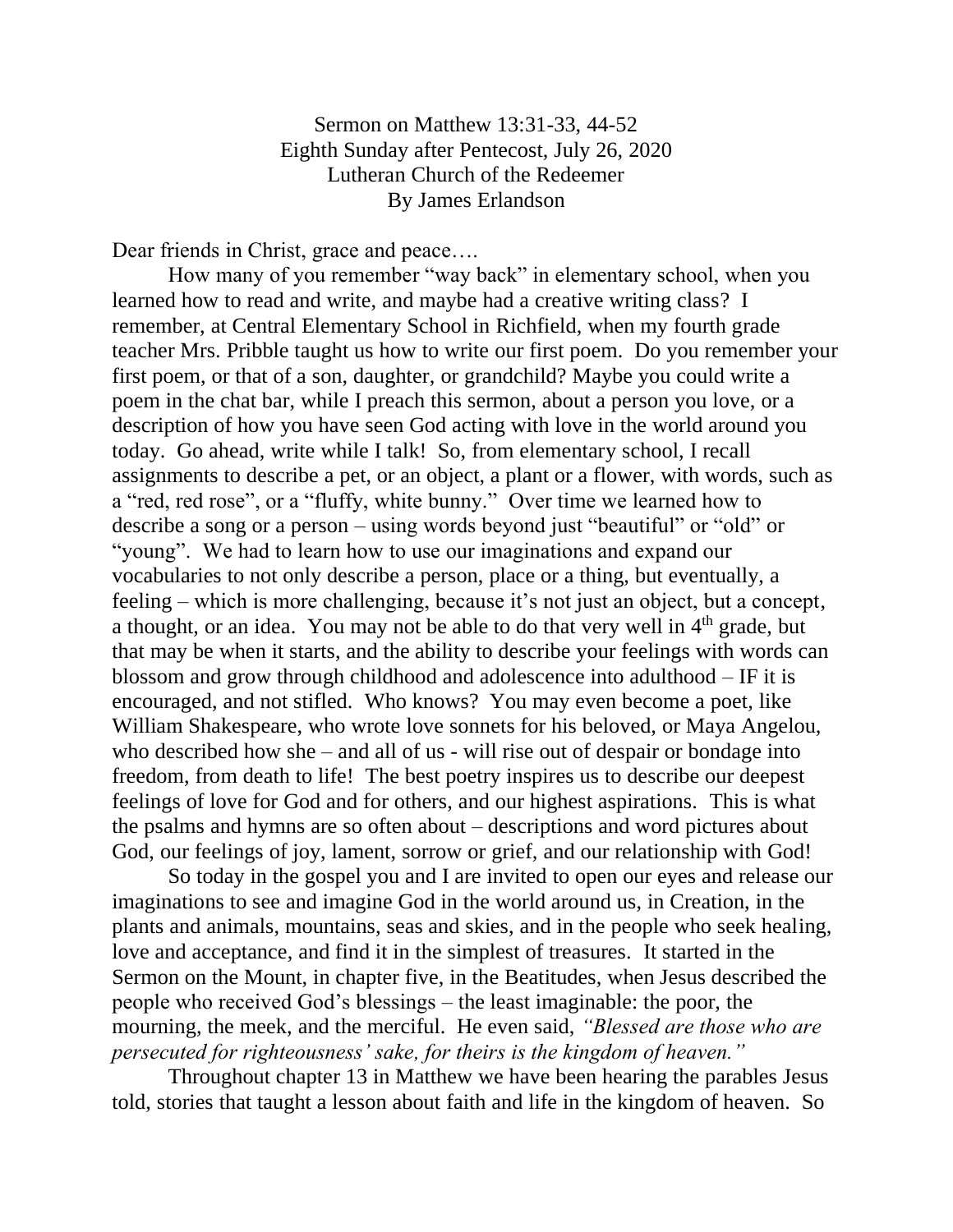Sermon on Matthew 13:31-33, 44-52 Eighth Sunday after Pentecost, July 26, 2020 Lutheran Church of the Redeemer By James Erlandson

Dear friends in Christ, grace and peace....

How many of you remember "way back" in elementary school, when you learned how to read and write, and maybe had a creative writing class? I remember, at Central Elementary School in Richfield, when my fourth grade teacher Mrs. Pribble taught us how to write our first poem. Do you remember your first poem, or that of a son, daughter, or grandchild? Maybe you could write a poem in the chat bar, while I preach this sermon, about a person you love, or a description of how you have seen God acting with love in the world around you today. Go ahead, write while I talk! So, from elementary school, I recall assignments to describe a pet, or an object, a plant or a flower, with words, such as a "red, red rose", or a "fluffy, white bunny." Over time we learned how to describe a song or a person – using words beyond just "beautiful" or "old" or "young". We had to learn how to use our imaginations and expand our vocabularies to not only describe a person, place or a thing, but eventually, a feeling – which is more challenging, because it's not just an object, but a concept, a thought, or an idea. You may not be able to do that very well in  $4<sup>th</sup>$  grade, but that may be when it starts, and the ability to describe your feelings with words can blossom and grow through childhood and adolescence into adulthood – IF it is encouraged, and not stifled. Who knows? You may even become a poet, like William Shakespeare, who wrote love sonnets for his beloved, or Maya Angelou, who described how she – and all of us - will rise out of despair or bondage into freedom, from death to life! The best poetry inspires us to describe our deepest feelings of love for God and for others, and our highest aspirations. This is what the psalms and hymns are so often about – descriptions and word pictures about God, our feelings of joy, lament, sorrow or grief, and our relationship with God!

So today in the gospel you and I are invited to open our eyes and release our imaginations to see and imagine God in the world around us, in Creation, in the plants and animals, mountains, seas and skies, and in the people who seek healing, love and acceptance, and find it in the simplest of treasures. It started in the Sermon on the Mount, in chapter five, in the Beatitudes, when Jesus described the people who received God's blessings – the least imaginable: the poor, the mourning, the meek, and the merciful. He even said, *"Blessed are those who are persecuted for righteousness' sake, for theirs is the kingdom of heaven."*

Throughout chapter 13 in Matthew we have been hearing the parables Jesus told, stories that taught a lesson about faith and life in the kingdom of heaven. So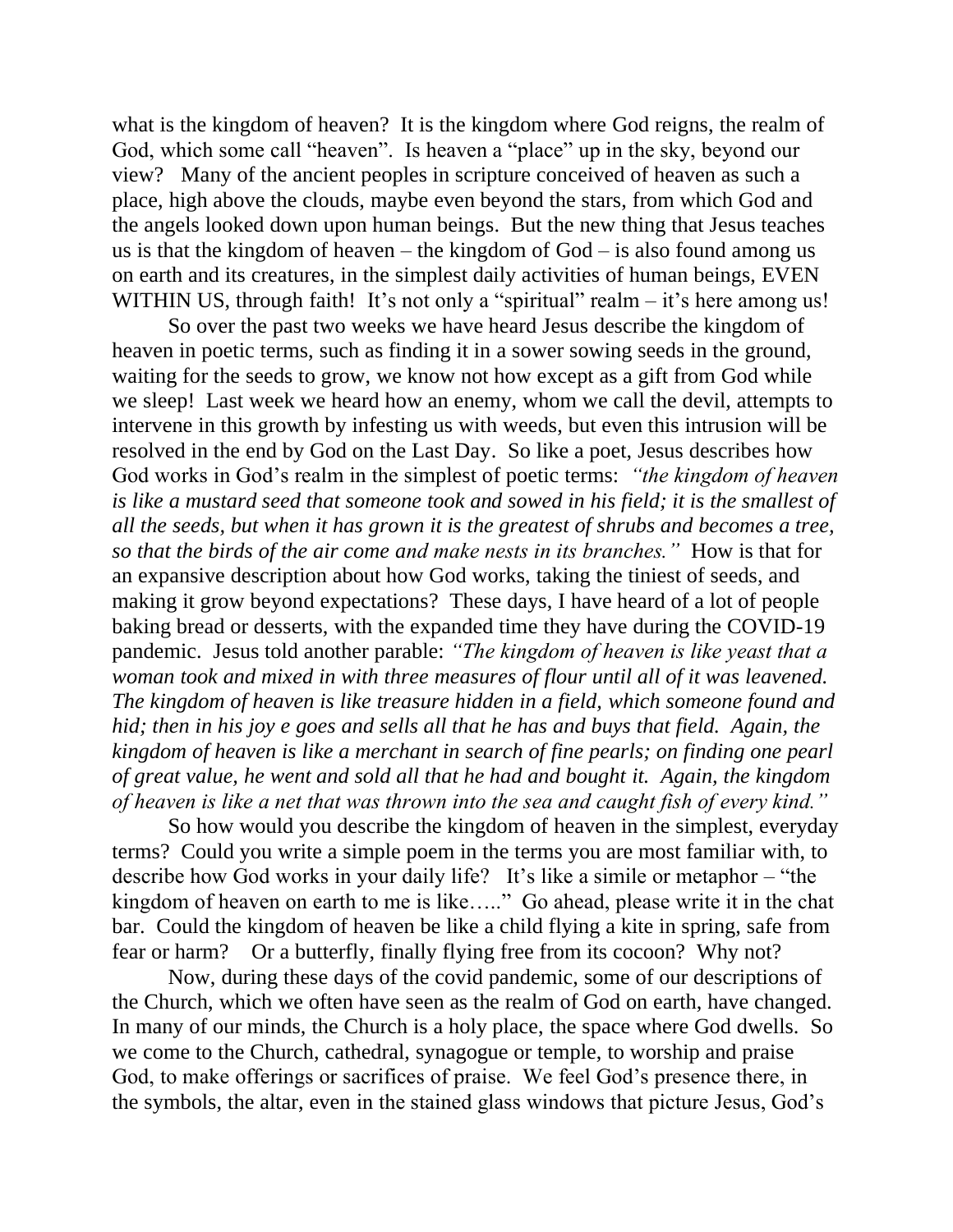what is the kingdom of heaven? It is the kingdom where God reigns, the realm of God, which some call "heaven". Is heaven a "place" up in the sky, beyond our view? Many of the ancient peoples in scripture conceived of heaven as such a place, high above the clouds, maybe even beyond the stars, from which God and the angels looked down upon human beings. But the new thing that Jesus teaches us is that the kingdom of heaven – the kingdom of  $God - is also found among us$ on earth and its creatures, in the simplest daily activities of human beings, EVEN WITHIN US, through faith! It's not only a "spiritual" realm  $-$  it's here among us!

So over the past two weeks we have heard Jesus describe the kingdom of heaven in poetic terms, such as finding it in a sower sowing seeds in the ground, waiting for the seeds to grow, we know not how except as a gift from God while we sleep! Last week we heard how an enemy, whom we call the devil, attempts to intervene in this growth by infesting us with weeds, but even this intrusion will be resolved in the end by God on the Last Day. So like a poet, Jesus describes how God works in God's realm in the simplest of poetic terms: *"the kingdom of heaven is like a mustard seed that someone took and sowed in his field; it is the smallest of all the seeds, but when it has grown it is the greatest of shrubs and becomes a tree, so that the birds of the air come and make nests in its branches."* How is that for an expansive description about how God works, taking the tiniest of seeds, and making it grow beyond expectations? These days, I have heard of a lot of people baking bread or desserts, with the expanded time they have during the COVID-19 pandemic. Jesus told another parable: *"The kingdom of heaven is like yeast that a woman took and mixed in with three measures of flour until all of it was leavened. The kingdom of heaven is like treasure hidden in a field, which someone found and hid; then in his joy e goes and sells all that he has and buys that field. Again, the kingdom of heaven is like a merchant in search of fine pearls; on finding one pearl of great value, he went and sold all that he had and bought it. Again, the kingdom of heaven is like a net that was thrown into the sea and caught fish of every kind."*

So how would you describe the kingdom of heaven in the simplest, everyday terms? Could you write a simple poem in the terms you are most familiar with, to describe how God works in your daily life? It's like a simile or metaphor – "the kingdom of heaven on earth to me is like….." Go ahead, please write it in the chat bar. Could the kingdom of heaven be like a child flying a kite in spring, safe from fear or harm? Or a butterfly, finally flying free from its cocoon? Why not?

Now, during these days of the covid pandemic, some of our descriptions of the Church, which we often have seen as the realm of God on earth, have changed. In many of our minds, the Church is a holy place, the space where God dwells. So we come to the Church, cathedral, synagogue or temple, to worship and praise God, to make offerings or sacrifices of praise. We feel God's presence there, in the symbols, the altar, even in the stained glass windows that picture Jesus, God's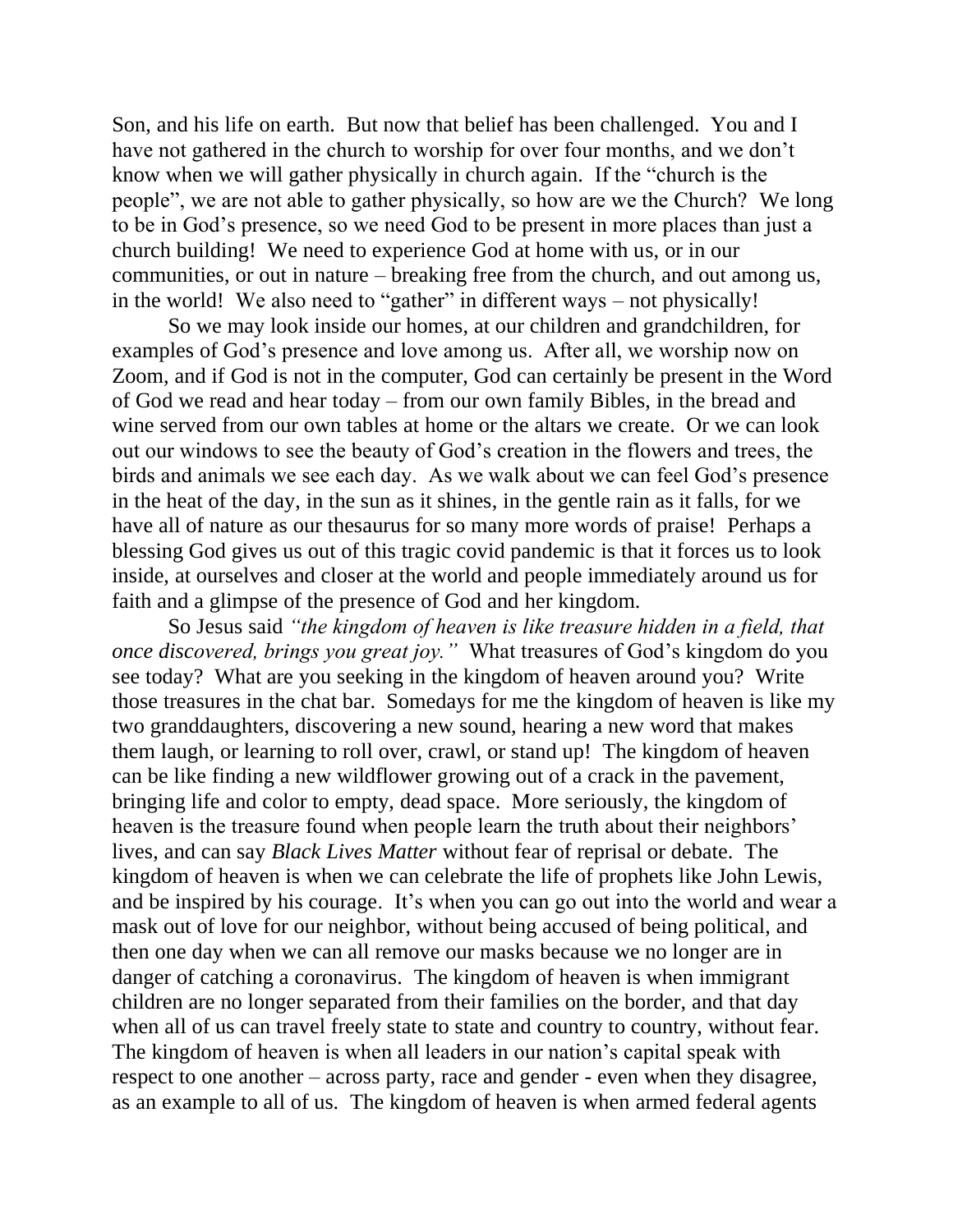Son, and his life on earth. But now that belief has been challenged. You and I have not gathered in the church to worship for over four months, and we don't know when we will gather physically in church again. If the "church is the people", we are not able to gather physically, so how are we the Church? We long to be in God's presence, so we need God to be present in more places than just a church building! We need to experience God at home with us, or in our communities, or out in nature – breaking free from the church, and out among us, in the world! We also need to "gather" in different ways – not physically!

So we may look inside our homes, at our children and grandchildren, for examples of God's presence and love among us. After all, we worship now on Zoom, and if God is not in the computer, God can certainly be present in the Word of God we read and hear today – from our own family Bibles, in the bread and wine served from our own tables at home or the altars we create. Or we can look out our windows to see the beauty of God's creation in the flowers and trees, the birds and animals we see each day. As we walk about we can feel God's presence in the heat of the day, in the sun as it shines, in the gentle rain as it falls, for we have all of nature as our thesaurus for so many more words of praise! Perhaps a blessing God gives us out of this tragic covid pandemic is that it forces us to look inside, at ourselves and closer at the world and people immediately around us for faith and a glimpse of the presence of God and her kingdom.

So Jesus said *"the kingdom of heaven is like treasure hidden in a field, that once discovered, brings you great joy."* What treasures of God's kingdom do you see today? What are you seeking in the kingdom of heaven around you? Write those treasures in the chat bar. Somedays for me the kingdom of heaven is like my two granddaughters, discovering a new sound, hearing a new word that makes them laugh, or learning to roll over, crawl, or stand up! The kingdom of heaven can be like finding a new wildflower growing out of a crack in the pavement, bringing life and color to empty, dead space. More seriously, the kingdom of heaven is the treasure found when people learn the truth about their neighbors' lives, and can say *Black Lives Matter* without fear of reprisal or debate. The kingdom of heaven is when we can celebrate the life of prophets like John Lewis, and be inspired by his courage. It's when you can go out into the world and wear a mask out of love for our neighbor, without being accused of being political, and then one day when we can all remove our masks because we no longer are in danger of catching a coronavirus. The kingdom of heaven is when immigrant children are no longer separated from their families on the border, and that day when all of us can travel freely state to state and country to country, without fear. The kingdom of heaven is when all leaders in our nation's capital speak with respect to one another – across party, race and gender - even when they disagree, as an example to all of us. The kingdom of heaven is when armed federal agents